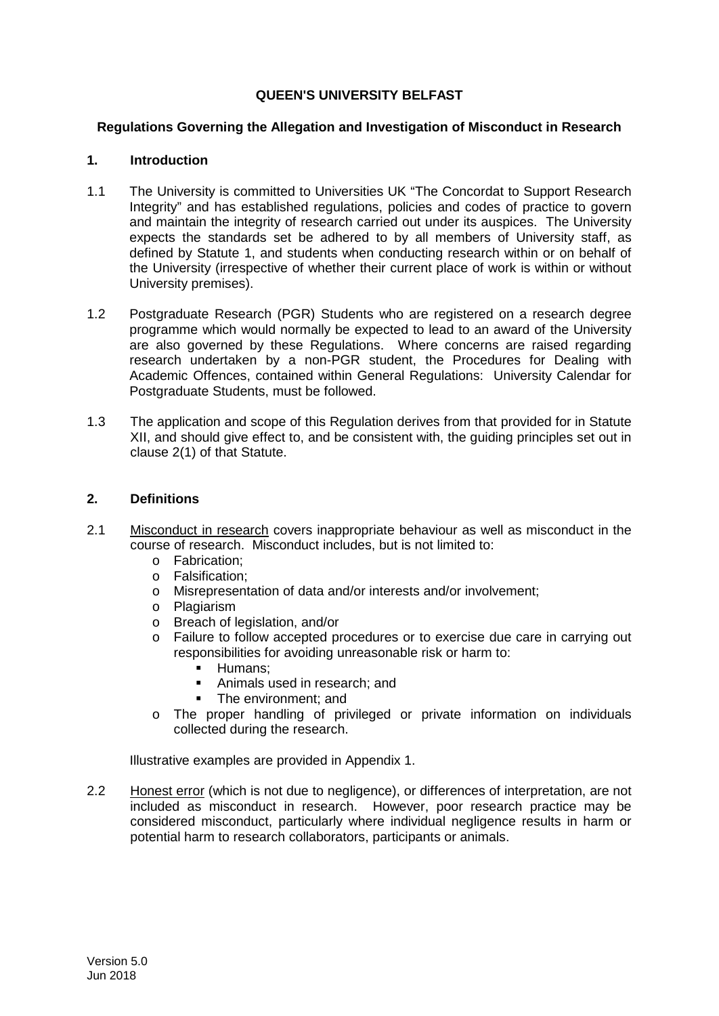# **QUEEN'S UNIVERSITY BELFAST**

### **Regulations Governing the Allegation and Investigation of Misconduct in Research**

## **1. Introduction**

- 1.1 The University is committed to Universities UK "The Concordat to Support Research Integrity" and has established regulations, policies and codes of practice to govern and maintain the integrity of research carried out under its auspices. The University expects the standards set be adhered to by all members of University staff, as defined by Statute 1, and students when conducting research within or on behalf of the University (irrespective of whether their current place of work is within or without University premises).
- 1.2 Postgraduate Research (PGR) Students who are registered on a research degree programme which would normally be expected to lead to an award of the University are also governed by these Regulations. Where concerns are raised regarding research undertaken by a non-PGR student, the Procedures for Dealing with Academic Offences, contained within General Regulations: University Calendar for Postgraduate Students, must be followed.
- 1.3 The application and scope of this Regulation derives from that provided for in Statute XII, and should give effect to, and be consistent with, the guiding principles set out in clause 2(1) of that Statute.

# **2. Definitions**

- 2.1 Misconduct in research covers inappropriate behaviour as well as misconduct in the course of research. Misconduct includes, but is not limited to:
	- o Fabrication;
	- o Falsification;
	- o Misrepresentation of data and/or interests and/or involvement;
	- o Plagiarism
	- o Breach of legislation, and/or
	- o Failure to follow accepted procedures or to exercise due care in carrying out responsibilities for avoiding unreasonable risk or harm to:
		- $\blacksquare$  Humans;
		- Animals used in research; and
		- The environment; and
	- o The proper handling of privileged or private information on individuals collected during the research.

Illustrative examples are provided in Appendix 1.

2.2 Honest error (which is not due to negligence), or differences of interpretation, are not included as misconduct in research. However, poor research practice may be considered misconduct, particularly where individual negligence results in harm or potential harm to research collaborators, participants or animals.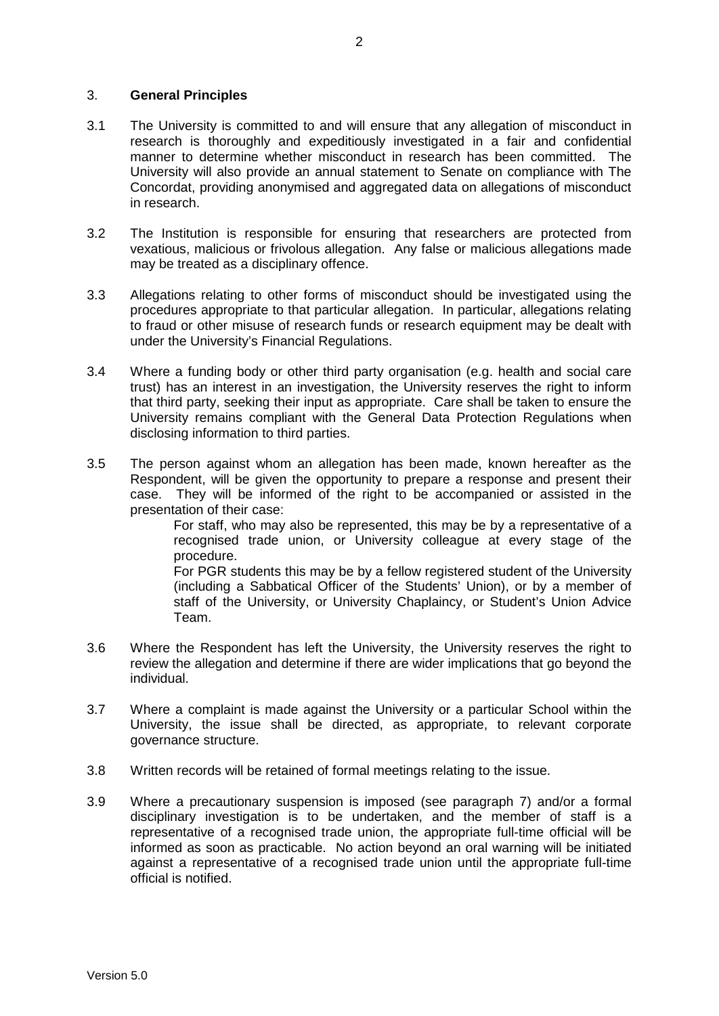### 3. **General Principles**

- 3.1 The University is committed to and will ensure that any allegation of misconduct in research is thoroughly and expeditiously investigated in a fair and confidential manner to determine whether misconduct in research has been committed. The University will also provide an annual statement to Senate on compliance with The Concordat, providing anonymised and aggregated data on allegations of misconduct in research.
- 3.2 The Institution is responsible for ensuring that researchers are protected from vexatious, malicious or frivolous allegation. Any false or malicious allegations made may be treated as a disciplinary offence.
- 3.3 Allegations relating to other forms of misconduct should be investigated using the procedures appropriate to that particular allegation. In particular, allegations relating to fraud or other misuse of research funds or research equipment may be dealt with under the University's Financial Regulations.
- 3.4 Where a funding body or other third party organisation (e.g. health and social care trust) has an interest in an investigation, the University reserves the right to inform that third party, seeking their input as appropriate. Care shall be taken to ensure the University remains compliant with the General Data Protection Regulations when disclosing information to third parties.
- 3.5 The person against whom an allegation has been made, known hereafter as the Respondent, will be given the opportunity to prepare a response and present their case. They will be informed of the right to be accompanied or assisted in the presentation of their case:

For staff, who may also be represented, this may be by a representative of a recognised trade union, or University colleague at every stage of the procedure.

For PGR students this may be by a fellow registered student of the University (including a Sabbatical Officer of the Students' Union), or by a member of staff of the University, or University Chaplaincy, or Student's Union Advice Team.

- 3.6 Where the Respondent has left the University, the University reserves the right to review the allegation and determine if there are wider implications that go beyond the individual.
- 3.7 Where a complaint is made against the University or a particular School within the University, the issue shall be directed, as appropriate, to relevant corporate governance structure.
- 3.8 Written records will be retained of formal meetings relating to the issue.
- 3.9 Where a precautionary suspension is imposed (see paragraph 7) and/or a formal disciplinary investigation is to be undertaken, and the member of staff is a representative of a recognised trade union, the appropriate full-time official will be informed as soon as practicable. No action beyond an oral warning will be initiated against a representative of a recognised trade union until the appropriate full-time official is notified.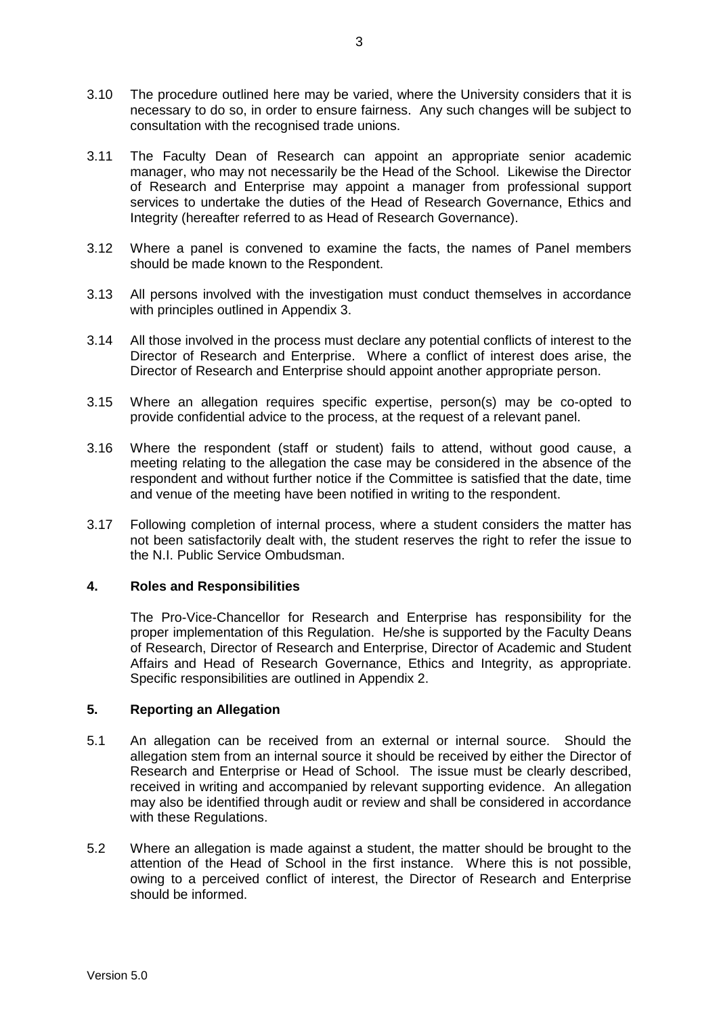- 3.10 The procedure outlined here may be varied, where the University considers that it is necessary to do so, in order to ensure fairness. Any such changes will be subject to consultation with the recognised trade unions.
- 3.11 The Faculty Dean of Research can appoint an appropriate senior academic manager, who may not necessarily be the Head of the School. Likewise the Director of Research and Enterprise may appoint a manager from professional support services to undertake the duties of the Head of Research Governance, Ethics and Integrity (hereafter referred to as Head of Research Governance).
- 3.12 Where a panel is convened to examine the facts, the names of Panel members should be made known to the Respondent.
- 3.13 All persons involved with the investigation must conduct themselves in accordance with principles outlined in Appendix 3.
- 3.14 All those involved in the process must declare any potential conflicts of interest to the Director of Research and Enterprise. Where a conflict of interest does arise, the Director of Research and Enterprise should appoint another appropriate person.
- 3.15 Where an allegation requires specific expertise, person(s) may be co-opted to provide confidential advice to the process, at the request of a relevant panel.
- 3.16 Where the respondent (staff or student) fails to attend, without good cause, a meeting relating to the allegation the case may be considered in the absence of the respondent and without further notice if the Committee is satisfied that the date, time and venue of the meeting have been notified in writing to the respondent.
- 3.17 Following completion of internal process, where a student considers the matter has not been satisfactorily dealt with, the student reserves the right to refer the issue to the N.I. Public Service Ombudsman.

# **4. Roles and Responsibilities**

The Pro-Vice-Chancellor for Research and Enterprise has responsibility for the proper implementation of this Regulation. He/she is supported by the Faculty Deans of Research, Director of Research and Enterprise, Director of Academic and Student Affairs and Head of Research Governance, Ethics and Integrity, as appropriate. Specific responsibilities are outlined in Appendix 2.

# **5. Reporting an Allegation**

- 5.1 An allegation can be received from an external or internal source. Should the allegation stem from an internal source it should be received by either the Director of Research and Enterprise or Head of School. The issue must be clearly described, received in writing and accompanied by relevant supporting evidence. An allegation may also be identified through audit or review and shall be considered in accordance with these Regulations.
- 5.2 Where an allegation is made against a student, the matter should be brought to the attention of the Head of School in the first instance. Where this is not possible, owing to a perceived conflict of interest, the Director of Research and Enterprise should be informed.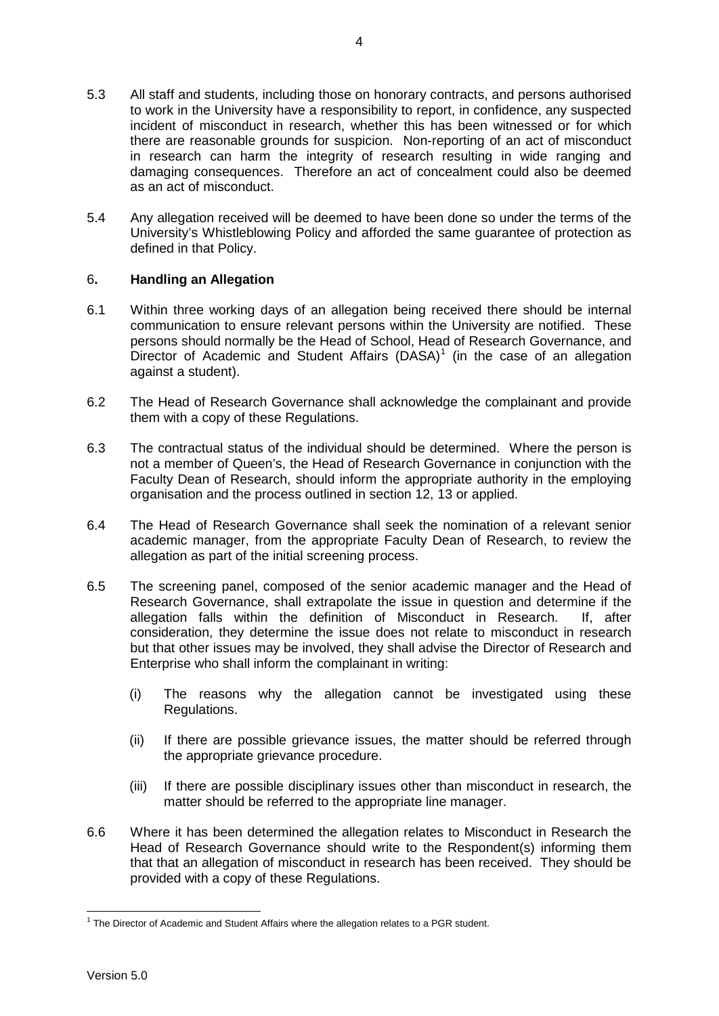- 5.3 All staff and students, including those on honorary contracts, and persons authorised to work in the University have a responsibility to report, in confidence, any suspected incident of misconduct in research, whether this has been witnessed or for which there are reasonable grounds for suspicion. Non-reporting of an act of misconduct in research can harm the integrity of research resulting in wide ranging and damaging consequences. Therefore an act of concealment could also be deemed as an act of misconduct.
- 5.4 Any allegation received will be deemed to have been done so under the terms of the University's Whistleblowing Policy and afforded the same guarantee of protection as defined in that Policy.

# 6**. Handling an Allegation**

- 6.1 Within three working days of an allegation being received there should be internal communication to ensure relevant persons within the University are notified. These persons should normally be the Head of School, Head of Research Governance, and Director of Academic and Student Affairs  $(DASA)^1$  $(DASA)^1$  (in the case of an allegation against a student).
- 6.2 The Head of Research Governance shall acknowledge the complainant and provide them with a copy of these Regulations.
- 6.3 The contractual status of the individual should be determined. Where the person is not a member of Queen's, the Head of Research Governance in conjunction with the Faculty Dean of Research, should inform the appropriate authority in the employing organisation and the process outlined in section 12, 13 or applied.
- 6.4 The Head of Research Governance shall seek the nomination of a relevant senior academic manager, from the appropriate Faculty Dean of Research, to review the allegation as part of the initial screening process.
- 6.5 The screening panel, composed of the senior academic manager and the Head of Research Governance, shall extrapolate the issue in question and determine if the allegation falls within the definition of Misconduct in Research. If after allegation falls within the definition of Misconduct in Research. consideration, they determine the issue does not relate to misconduct in research but that other issues may be involved, they shall advise the Director of Research and Enterprise who shall inform the complainant in writing:
	- (i) The reasons why the allegation cannot be investigated using these Regulations.
	- (ii) If there are possible grievance issues, the matter should be referred through the appropriate grievance procedure.
	- (iii) If there are possible disciplinary issues other than misconduct in research, the matter should be referred to the appropriate line manager.
- 6.6 Where it has been determined the allegation relates to Misconduct in Research the Head of Research Governance should write to the Respondent(s) informing them that that an allegation of misconduct in research has been received. They should be provided with a copy of these Regulations.

<span id="page-3-0"></span> $1$  The Director of Academic and Student Affairs where the allegation relates to a PGR student.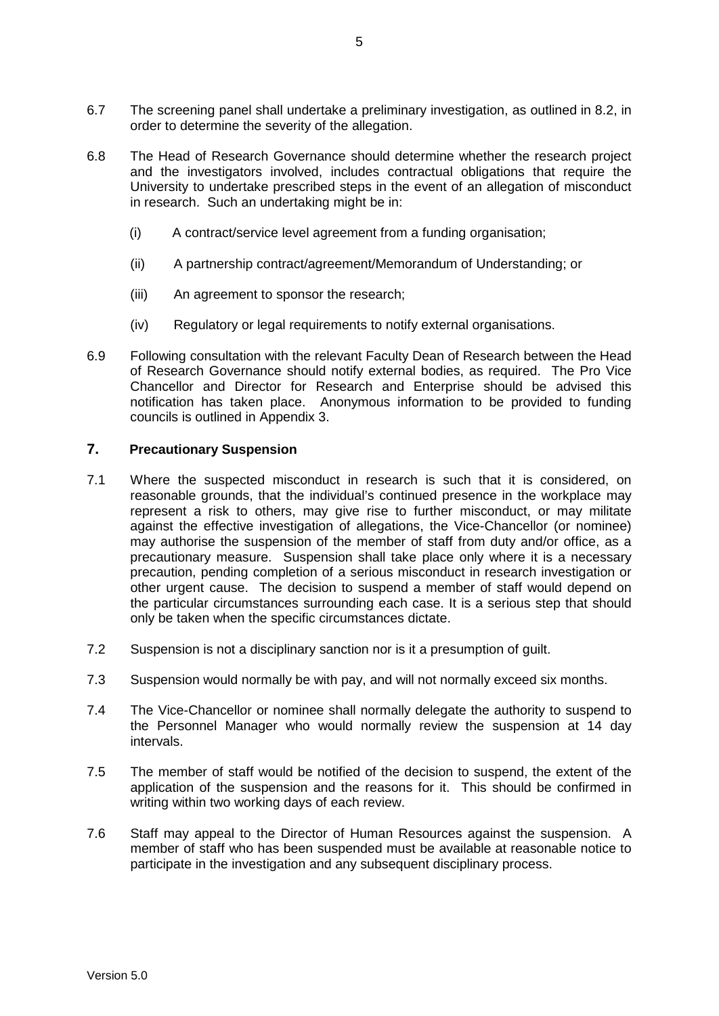- 6.7 The screening panel shall undertake a preliminary investigation, as outlined in 8.2, in order to determine the severity of the allegation.
- 6.8 The Head of Research Governance should determine whether the research project and the investigators involved, includes contractual obligations that require the University to undertake prescribed steps in the event of an allegation of misconduct in research. Such an undertaking might be in:
	- (i) A contract/service level agreement from a funding organisation;
	- (ii) A partnership contract/agreement/Memorandum of Understanding; or
	- (iii) An agreement to sponsor the research;
	- (iv) Regulatory or legal requirements to notify external organisations.
- 6.9 Following consultation with the relevant Faculty Dean of Research between the Head of Research Governance should notify external bodies, as required. The Pro Vice Chancellor and Director for Research and Enterprise should be advised this notification has taken place. Anonymous information to be provided to funding councils is outlined in Appendix 3.

## **7. Precautionary Suspension**

- 7.1 Where the suspected misconduct in research is such that it is considered, on reasonable grounds, that the individual's continued presence in the workplace may represent a risk to others, may give rise to further misconduct, or may militate against the effective investigation of allegations, the Vice-Chancellor (or nominee) may authorise the suspension of the member of staff from duty and/or office, as a precautionary measure. Suspension shall take place only where it is a necessary precaution, pending completion of a serious misconduct in research investigation or other urgent cause. The decision to suspend a member of staff would depend on the particular circumstances surrounding each case. It is a serious step that should only be taken when the specific circumstances dictate.
- 7.2 Suspension is not a disciplinary sanction nor is it a presumption of guilt.
- 7.3 Suspension would normally be with pay, and will not normally exceed six months.
- 7.4 The Vice-Chancellor or nominee shall normally delegate the authority to suspend to the Personnel Manager who would normally review the suspension at 14 day intervals.
- 7.5 The member of staff would be notified of the decision to suspend, the extent of the application of the suspension and the reasons for it. This should be confirmed in writing within two working days of each review.
- 7.6 Staff may appeal to the Director of Human Resources against the suspension. A member of staff who has been suspended must be available at reasonable notice to participate in the investigation and any subsequent disciplinary process.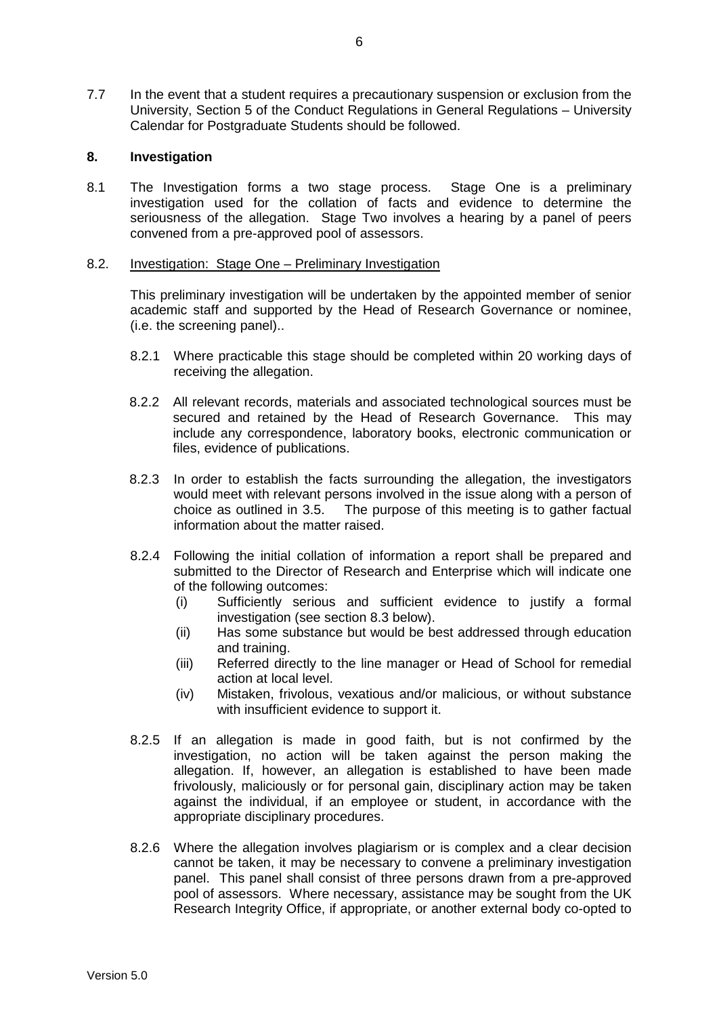7.7 In the event that a student requires a precautionary suspension or exclusion from the University, Section 5 of the Conduct Regulations in General Regulations – University Calendar for Postgraduate Students should be followed.

# **8. Investigation**

8.1 The Investigation forms a two stage process. Stage One is a preliminary investigation used for the collation of facts and evidence to determine the seriousness of the allegation. Stage Two involves a hearing by a panel of peers convened from a pre-approved pool of assessors.

### 8.2. Investigation: Stage One – Preliminary Investigation

This preliminary investigation will be undertaken by the appointed member of senior academic staff and supported by the Head of Research Governance or nominee, (i.e. the screening panel)..

- 8.2.1 Where practicable this stage should be completed within 20 working days of receiving the allegation.
- 8.2.2 All relevant records, materials and associated technological sources must be secured and retained by the Head of Research Governance. This may include any correspondence, laboratory books, electronic communication or files, evidence of publications.
- 8.2.3 In order to establish the facts surrounding the allegation, the investigators would meet with relevant persons involved in the issue along with a person of choice as outlined in 3.5. The purpose of this meeting is to gather factual The purpose of this meeting is to gather factual information about the matter raised.
- 8.2.4 Following the initial collation of information a report shall be prepared and submitted to the Director of Research and Enterprise which will indicate one of the following outcomes:
	- (i) Sufficiently serious and sufficient evidence to justify a formal investigation (see section 8.3 below).
	- (ii) Has some substance but would be best addressed through education and training.
	- (iii) Referred directly to the line manager or Head of School for remedial action at local level.
	- (iv) Mistaken, frivolous, vexatious and/or malicious, or without substance with insufficient evidence to support it.
- 8.2.5 If an allegation is made in good faith, but is not confirmed by the investigation, no action will be taken against the person making the allegation. If, however, an allegation is established to have been made frivolously, maliciously or for personal gain, disciplinary action may be taken against the individual, if an employee or student, in accordance with the appropriate disciplinary procedures.
- 8.2.6 Where the allegation involves plagiarism or is complex and a clear decision cannot be taken, it may be necessary to convene a preliminary investigation panel. This panel shall consist of three persons drawn from a pre-approved pool of assessors. Where necessary, assistance may be sought from the UK Research Integrity Office, if appropriate, or another external body co-opted to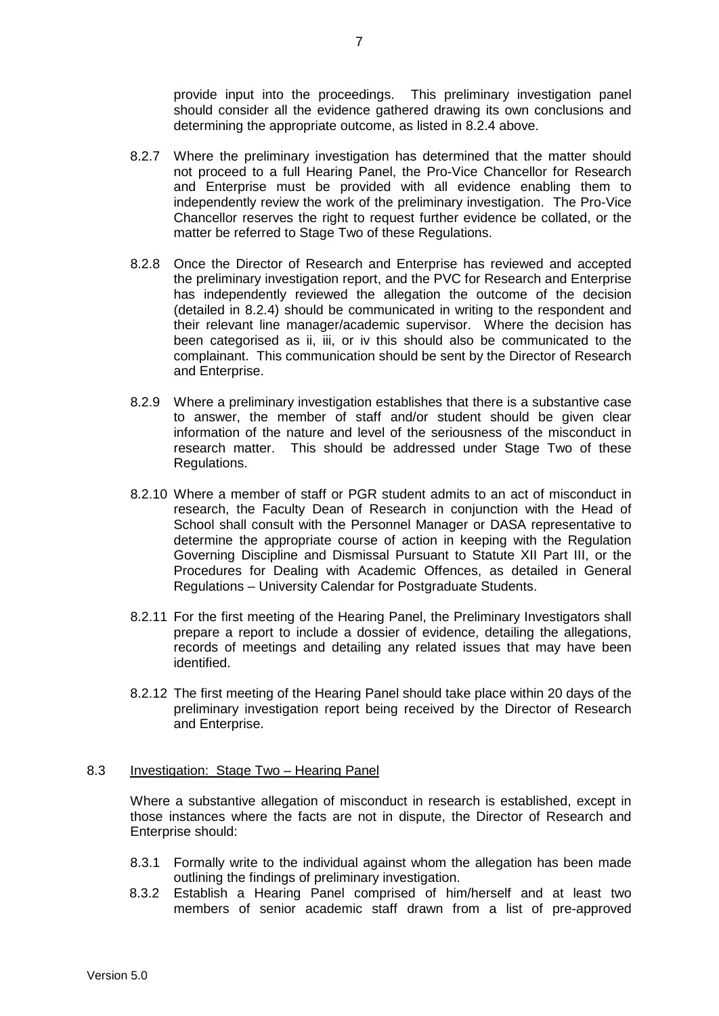provide input into the proceedings. This preliminary investigation panel should consider all the evidence gathered drawing its own conclusions and determining the appropriate outcome, as listed in 8.2.4 above.

- 8.2.7 Where the preliminary investigation has determined that the matter should not proceed to a full Hearing Panel, the Pro-Vice Chancellor for Research and Enterprise must be provided with all evidence enabling them to independently review the work of the preliminary investigation. The Pro-Vice Chancellor reserves the right to request further evidence be collated, or the matter be referred to Stage Two of these Regulations.
- 8.2.8 Once the Director of Research and Enterprise has reviewed and accepted the preliminary investigation report, and the PVC for Research and Enterprise has independently reviewed the allegation the outcome of the decision (detailed in 8.2.4) should be communicated in writing to the respondent and their relevant line manager/academic supervisor. Where the decision has been categorised as ii, iii, or iv this should also be communicated to the complainant. This communication should be sent by the Director of Research and Enterprise.
- 8.2.9 Where a preliminary investigation establishes that there is a substantive case to answer, the member of staff and/or student should be given clear information of the nature and level of the seriousness of the misconduct in research matter. This should be addressed under Stage Two of these Regulations.
- 8.2.10 Where a member of staff or PGR student admits to an act of misconduct in research, the Faculty Dean of Research in conjunction with the Head of School shall consult with the Personnel Manager or DASA representative to determine the appropriate course of action in keeping with the Regulation Governing Discipline and Dismissal Pursuant to Statute XII Part III, or the Procedures for Dealing with Academic Offences, as detailed in General Regulations – University Calendar for Postgraduate Students.
- 8.2.11 For the first meeting of the Hearing Panel, the Preliminary Investigators shall prepare a report to include a dossier of evidence, detailing the allegations, records of meetings and detailing any related issues that may have been identified.
- 8.2.12 The first meeting of the Hearing Panel should take place within 20 days of the preliminary investigation report being received by the Director of Research and Enterprise.

### 8.3 Investigation: Stage Two – Hearing Panel

Where a substantive allegation of misconduct in research is established, except in those instances where the facts are not in dispute, the Director of Research and Enterprise should:

- 8.3.1 Formally write to the individual against whom the allegation has been made outlining the findings of preliminary investigation.
- 8.3.2 Establish a Hearing Panel comprised of him/herself and at least two members of senior academic staff drawn from a list of pre-approved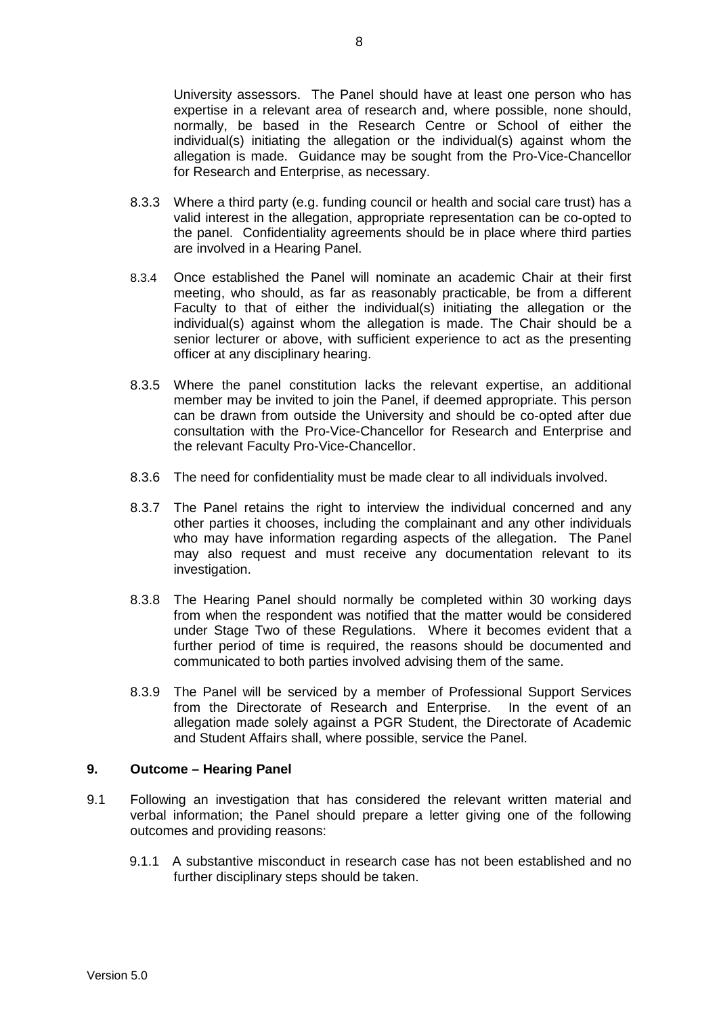University assessors. The Panel should have at least one person who has expertise in a relevant area of research and, where possible, none should, normally, be based in the Research Centre or School of either the individual(s) initiating the allegation or the individual(s) against whom the allegation is made. Guidance may be sought from the Pro-Vice-Chancellor for Research and Enterprise, as necessary.

- 8.3.3 Where a third party (e.g. funding council or health and social care trust) has a valid interest in the allegation, appropriate representation can be co-opted to the panel. Confidentiality agreements should be in place where third parties are involved in a Hearing Panel.
- 8.3.4 Once established the Panel will nominate an academic Chair at their first meeting, who should, as far as reasonably practicable, be from a different Faculty to that of either the individual(s) initiating the allegation or the individual(s) against whom the allegation is made. The Chair should be a senior lecturer or above, with sufficient experience to act as the presenting officer at any disciplinary hearing.
- 8.3.5 Where the panel constitution lacks the relevant expertise, an additional member may be invited to join the Panel, if deemed appropriate. This person can be drawn from outside the University and should be co-opted after due consultation with the Pro-Vice-Chancellor for Research and Enterprise and the relevant Faculty Pro-Vice-Chancellor.
- 8.3.6 The need for confidentiality must be made clear to all individuals involved.
- 8.3.7 The Panel retains the right to interview the individual concerned and any other parties it chooses, including the complainant and any other individuals who may have information regarding aspects of the allegation. The Panel may also request and must receive any documentation relevant to its investigation.
- 8.3.8 The Hearing Panel should normally be completed within 30 working days from when the respondent was notified that the matter would be considered under Stage Two of these Regulations. Where it becomes evident that a further period of time is required, the reasons should be documented and communicated to both parties involved advising them of the same.
- 8.3.9 The Panel will be serviced by a member of Professional Support Services from the Directorate of Research and Enterprise. In the event of an allegation made solely against a PGR Student, the Directorate of Academic and Student Affairs shall, where possible, service the Panel.

### **9. Outcome – Hearing Panel**

- 9.1 Following an investigation that has considered the relevant written material and verbal information; the Panel should prepare a letter giving one of the following outcomes and providing reasons:
	- 9.1.1 A substantive misconduct in research case has not been established and no further disciplinary steps should be taken.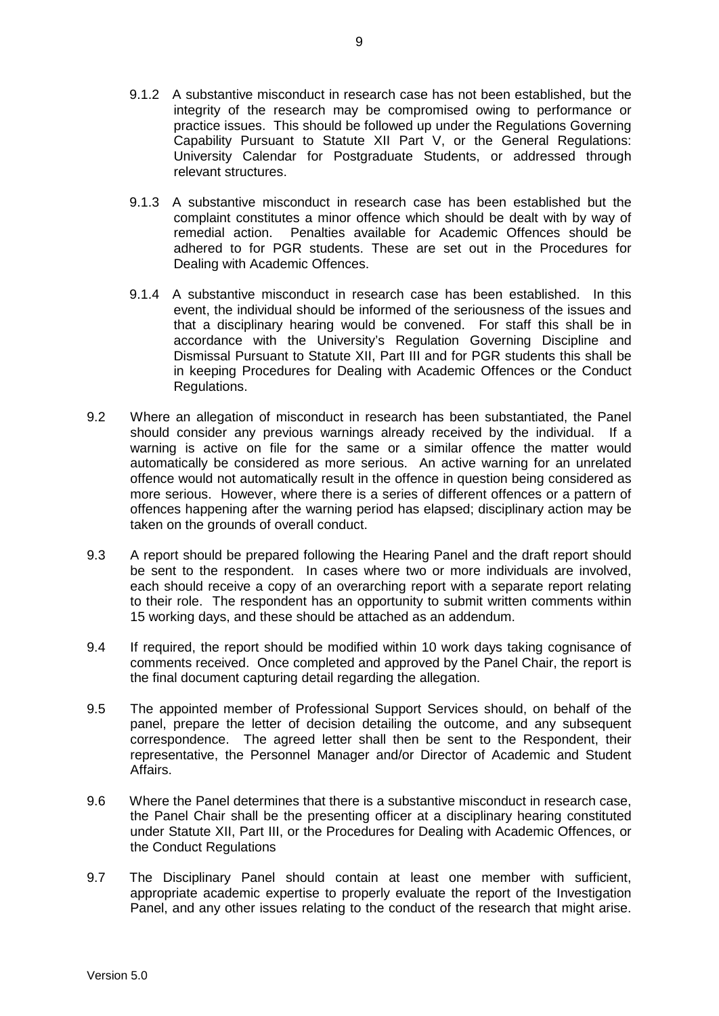- 9.1.2 A substantive misconduct in research case has not been established, but the integrity of the research may be compromised owing to performance or practice issues. This should be followed up under the Regulations Governing Capability Pursuant to Statute XII Part V, or the General Regulations: University Calendar for Postgraduate Students, or addressed through relevant structures.
- 9.1.3 A substantive misconduct in research case has been established but the complaint constitutes a minor offence which should be dealt with by way of remedial action. Penalties available for Academic Offences should be adhered to for PGR students. These are set out in the Procedures for Dealing with Academic Offences.
- 9.1.4 A substantive misconduct in research case has been established. In this event, the individual should be informed of the seriousness of the issues and that a disciplinary hearing would be convened. For staff this shall be in accordance with the University's Regulation Governing Discipline and Dismissal Pursuant to Statute XII, Part III and for PGR students this shall be in keeping Procedures for Dealing with Academic Offences or the Conduct Regulations.
- 9.2 Where an allegation of misconduct in research has been substantiated, the Panel should consider any previous warnings already received by the individual. If a warning is active on file for the same or a similar offence the matter would automatically be considered as more serious. An active warning for an unrelated offence would not automatically result in the offence in question being considered as more serious. However, where there is a series of different offences or a pattern of offences happening after the warning period has elapsed; disciplinary action may be taken on the grounds of overall conduct.
- 9.3 A report should be prepared following the Hearing Panel and the draft report should be sent to the respondent. In cases where two or more individuals are involved, each should receive a copy of an overarching report with a separate report relating to their role. The respondent has an opportunity to submit written comments within 15 working days, and these should be attached as an addendum.
- 9.4 If required, the report should be modified within 10 work days taking cognisance of comments received. Once completed and approved by the Panel Chair, the report is the final document capturing detail regarding the allegation.
- 9.5 The appointed member of Professional Support Services should, on behalf of the panel, prepare the letter of decision detailing the outcome, and any subsequent correspondence. The agreed letter shall then be sent to the Respondent, their representative, the Personnel Manager and/or Director of Academic and Student Affairs.
- 9.6 Where the Panel determines that there is a substantive misconduct in research case, the Panel Chair shall be the presenting officer at a disciplinary hearing constituted under Statute XII, Part III, or the Procedures for Dealing with Academic Offences, or the Conduct Regulations
- 9.7 The Disciplinary Panel should contain at least one member with sufficient, appropriate academic expertise to properly evaluate the report of the Investigation Panel, and any other issues relating to the conduct of the research that might arise.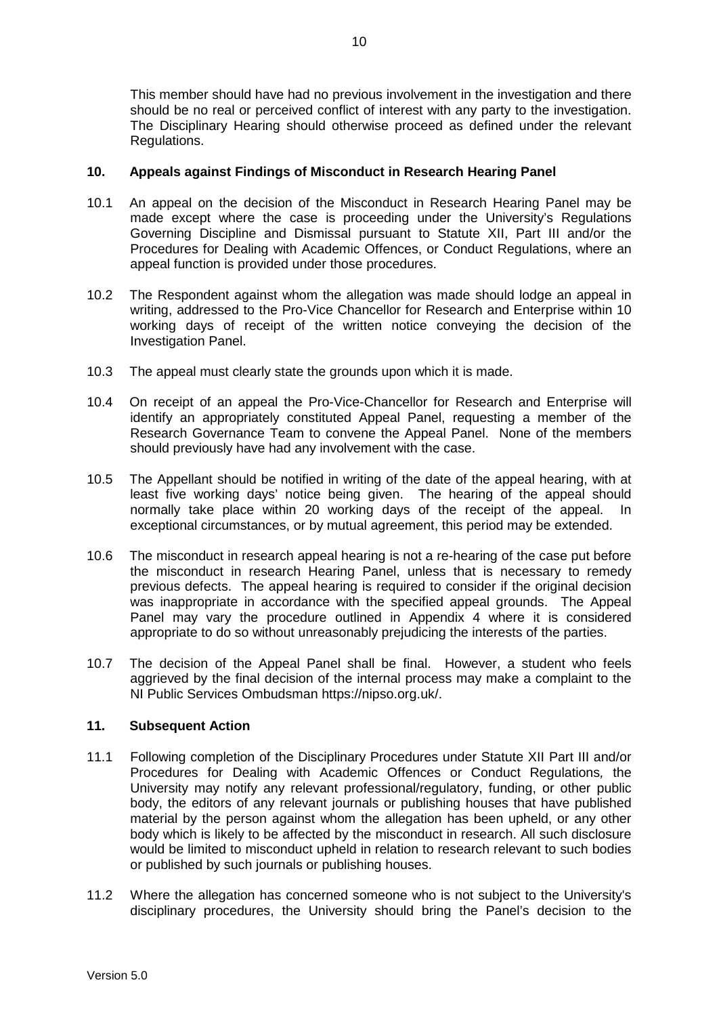This member should have had no previous involvement in the investigation and there should be no real or perceived conflict of interest with any party to the investigation. The Disciplinary Hearing should otherwise proceed as defined under the relevant Regulations.

# **10. Appeals against Findings of Misconduct in Research Hearing Panel**

- 10.1 An appeal on the decision of the Misconduct in Research Hearing Panel may be made except where the case is proceeding under the University's Regulations Governing Discipline and Dismissal pursuant to Statute XII, Part III and/or the Procedures for Dealing with Academic Offences, or Conduct Regulations, where an appeal function is provided under those procedures.
- 10.2 The Respondent against whom the allegation was made should lodge an appeal in writing, addressed to the Pro-Vice Chancellor for Research and Enterprise within 10 working days of receipt of the written notice conveying the decision of the Investigation Panel.
- 10.3 The appeal must clearly state the grounds upon which it is made.
- 10.4 On receipt of an appeal the Pro-Vice-Chancellor for Research and Enterprise will identify an appropriately constituted Appeal Panel, requesting a member of the Research Governance Team to convene the Appeal Panel. None of the members should previously have had any involvement with the case.
- 10.5 The Appellant should be notified in writing of the date of the appeal hearing, with at least five working days' notice being given. The hearing of the appeal should normally take place within 20 working days of the receipt of the appeal. In exceptional circumstances, or by mutual agreement, this period may be extended.
- 10.6 The misconduct in research appeal hearing is not a re-hearing of the case put before the misconduct in research Hearing Panel, unless that is necessary to remedy previous defects. The appeal hearing is required to consider if the original decision was inappropriate in accordance with the specified appeal grounds. The Appeal Panel may vary the procedure outlined in Appendix 4 where it is considered appropriate to do so without unreasonably prejudicing the interests of the parties.
- 10.7 The decision of the Appeal Panel shall be final. However, a student who feels aggrieved by the final decision of the internal process may make a complaint to the NI Public Services Ombudsman https://nipso.org.uk/.

# **11. Subsequent Action**

- 11.1 Following completion of the Disciplinary Procedures under Statute XII Part III and/or Procedures for Dealing with Academic Offences or Conduct Regulations*,* the University may notify any relevant professional/regulatory, funding, or other public body, the editors of any relevant journals or publishing houses that have published material by the person against whom the allegation has been upheld, or any other body which is likely to be affected by the misconduct in research. All such disclosure would be limited to misconduct upheld in relation to research relevant to such bodies or published by such journals or publishing houses.
- 11.2 Where the allegation has concerned someone who is not subject to the University's disciplinary procedures, the University should bring the Panel's decision to the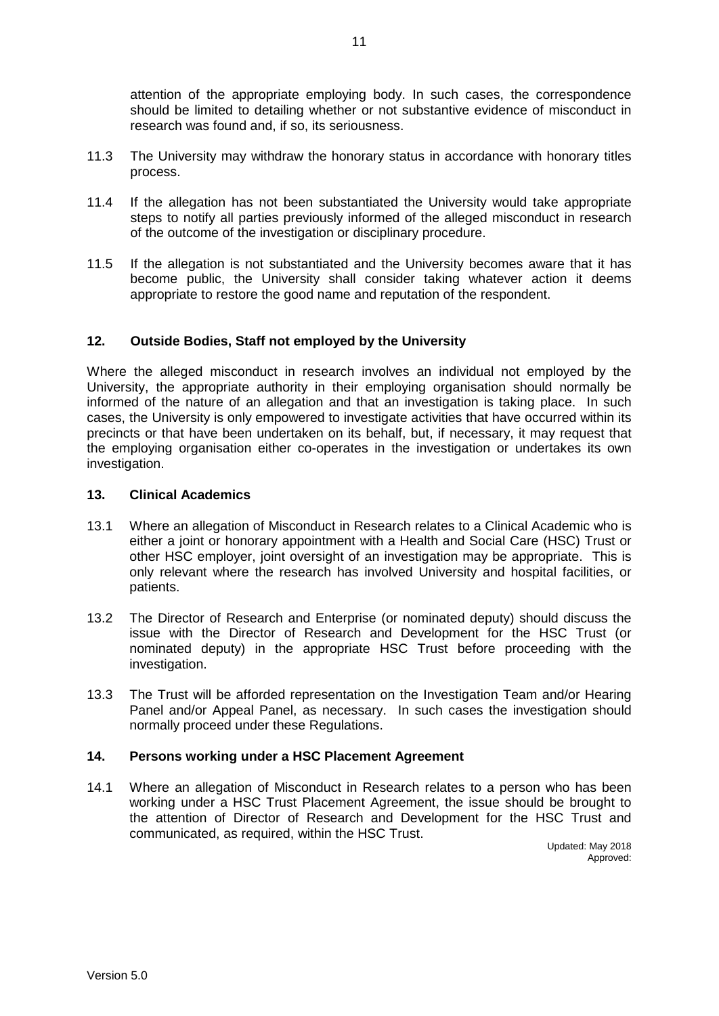attention of the appropriate employing body. In such cases, the correspondence should be limited to detailing whether or not substantive evidence of misconduct in research was found and, if so, its seriousness.

- 11.3 The University may withdraw the honorary status in accordance with honorary titles process.
- 11.4 If the allegation has not been substantiated the University would take appropriate steps to notify all parties previously informed of the alleged misconduct in research of the outcome of the investigation or disciplinary procedure.
- 11.5 If the allegation is not substantiated and the University becomes aware that it has become public, the University shall consider taking whatever action it deems appropriate to restore the good name and reputation of the respondent.

# **12. Outside Bodies, Staff not employed by the University**

Where the alleged misconduct in research involves an individual not employed by the University, the appropriate authority in their employing organisation should normally be informed of the nature of an allegation and that an investigation is taking place. In such cases, the University is only empowered to investigate activities that have occurred within its precincts or that have been undertaken on its behalf, but, if necessary, it may request that the employing organisation either co-operates in the investigation or undertakes its own investigation.

# **13. Clinical Academics**

- 13.1 Where an allegation of Misconduct in Research relates to a Clinical Academic who is either a joint or honorary appointment with a Health and Social Care (HSC) Trust or other HSC employer, joint oversight of an investigation may be appropriate. This is only relevant where the research has involved University and hospital facilities, or patients.
- 13.2 The Director of Research and Enterprise (or nominated deputy) should discuss the issue with the Director of Research and Development for the HSC Trust (or nominated deputy) in the appropriate HSC Trust before proceeding with the investigation.
- 13.3 The Trust will be afforded representation on the Investigation Team and/or Hearing Panel and/or Appeal Panel, as necessary. In such cases the investigation should normally proceed under these Regulations.

### **14. Persons working under a HSC Placement Agreement**

14.1 Where an allegation of Misconduct in Research relates to a person who has been working under a HSC Trust Placement Agreement, the issue should be brought to the attention of Director of Research and Development for the HSC Trust and communicated, as required, within the HSC Trust.

Updated: May 2018 Approved: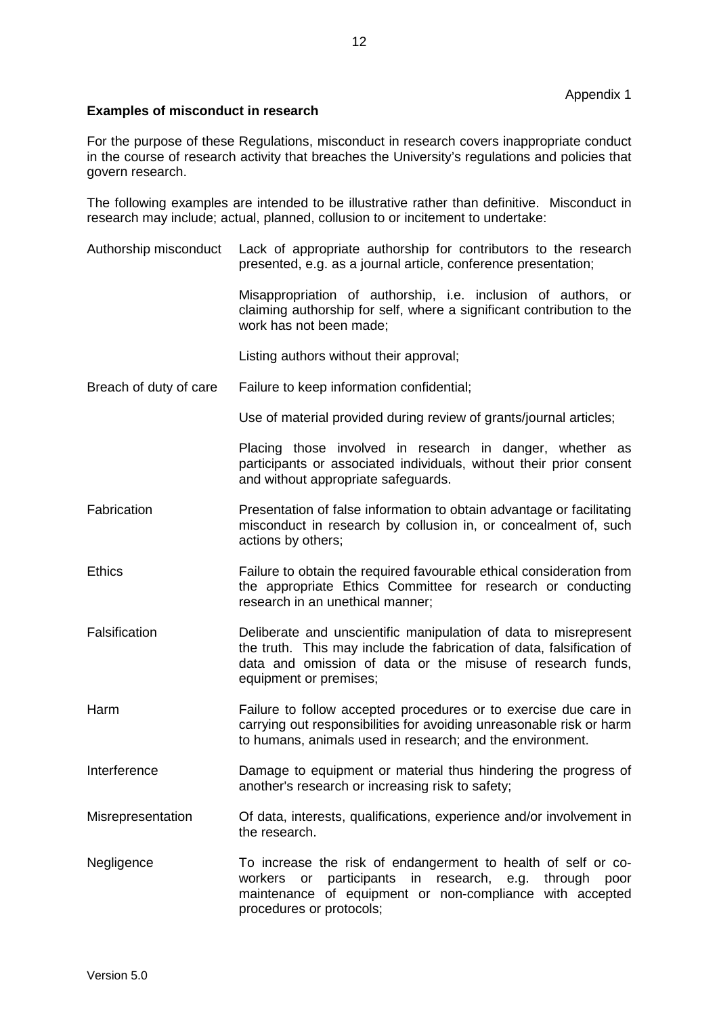# **Examples of misconduct in research**

For the purpose of these Regulations, misconduct in research covers inappropriate conduct in the course of research activity that breaches the University's regulations and policies that govern research.

The following examples are intended to be illustrative rather than definitive. Misconduct in research may include; actual, planned, collusion to or incitement to undertake:

Authorship misconduct Lack of appropriate authorship for contributors to the research presented, e.g. as a journal article, conference presentation;

> Misappropriation of authorship, i.e. inclusion of authors, or claiming authorship for self, where a significant contribution to the work has not been made;

Listing authors without their approval;

Breach of duty of care Failure to keep information confidential;

Use of material provided during review of grants/journal articles;

Placing those involved in research in danger, whether as participants or associated individuals, without their prior consent and without appropriate safeguards.

- Fabrication **Presentation of false information to obtain advantage or facilitating** misconduct in research by collusion in, or concealment of, such actions by others;
- Ethics Failure to obtain the required favourable ethical consideration from the appropriate Ethics Committee for research or conducting research in an unethical manner;
- Falsification Deliberate and unscientific manipulation of data to misrepresent the truth. This may include the fabrication of data, falsification of data and omission of data or the misuse of research funds, equipment or premises;
- Harm Failure to follow accepted procedures or to exercise due care in carrying out responsibilities for avoiding unreasonable risk or harm to humans, animals used in research; and the environment.
- Interference Damage to equipment or material thus hindering the progress of another's research or increasing risk to safety;
- Misrepresentation Of data, interests, qualifications, experience and/or involvement in the research.
- Negligence To increase the risk of endangerment to health of self or coworkers or participants in research, e.g. through poor maintenance of equipment or non-compliance with accepted procedures or protocols;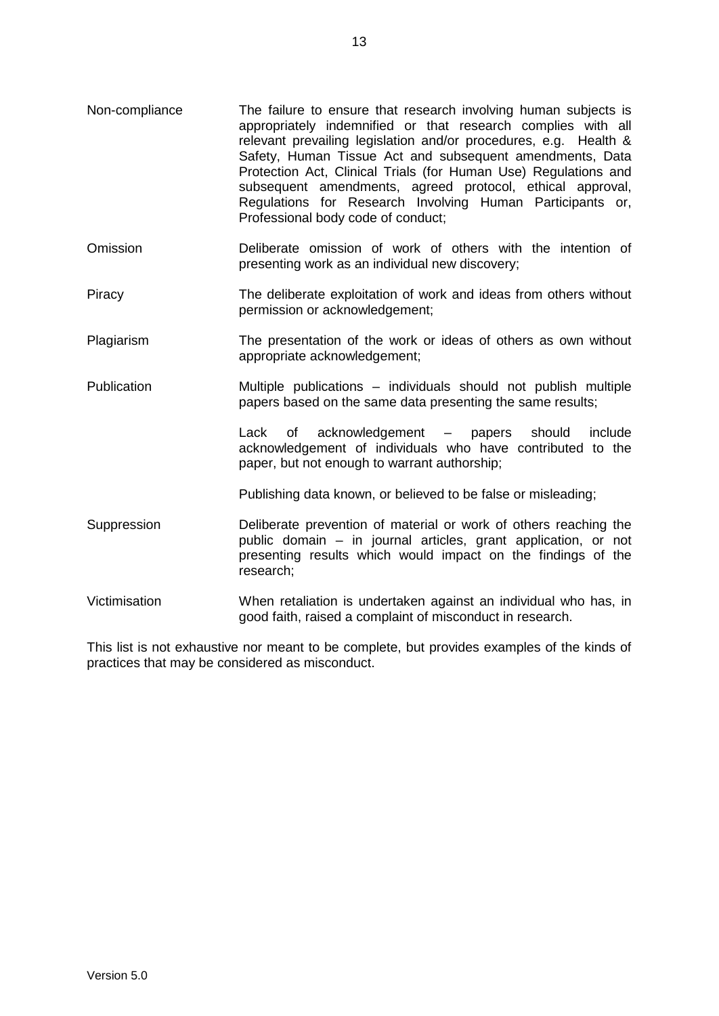- Non-compliance The failure to ensure that research involving human subjects is appropriately indemnified or that research complies with all relevant prevailing legislation and/or procedures, e.g. Health & Safety, Human Tissue Act and subsequent amendments, Data Protection Act, Clinical Trials (for Human Use) Regulations and subsequent amendments, agreed protocol, ethical approval, Regulations for Research Involving Human Participants or, Professional body code of conduct;
- Omission Deliberate omission of work of others with the intention of presenting work as an individual new discovery;
- Piracy The deliberate exploitation of work and ideas from others without permission or acknowledgement;
- Plagiarism The presentation of the work or ideas of others as own without appropriate acknowledgement;
- Publication Multiple publications individuals should not publish multiple papers based on the same data presenting the same results;

Lack of acknowledgement – papers should include acknowledgement of individuals who have contributed to the paper, but not enough to warrant authorship;

Publishing data known, or believed to be false or misleading;

- Suppression Deliberate prevention of material or work of others reaching the public domain – in journal articles, grant application, or not presenting results which would impact on the findings of the research;
- Victimisation When retaliation is undertaken against an individual who has, in good faith, raised a complaint of misconduct in research.

This list is not exhaustive nor meant to be complete, but provides examples of the kinds of practices that may be considered as misconduct.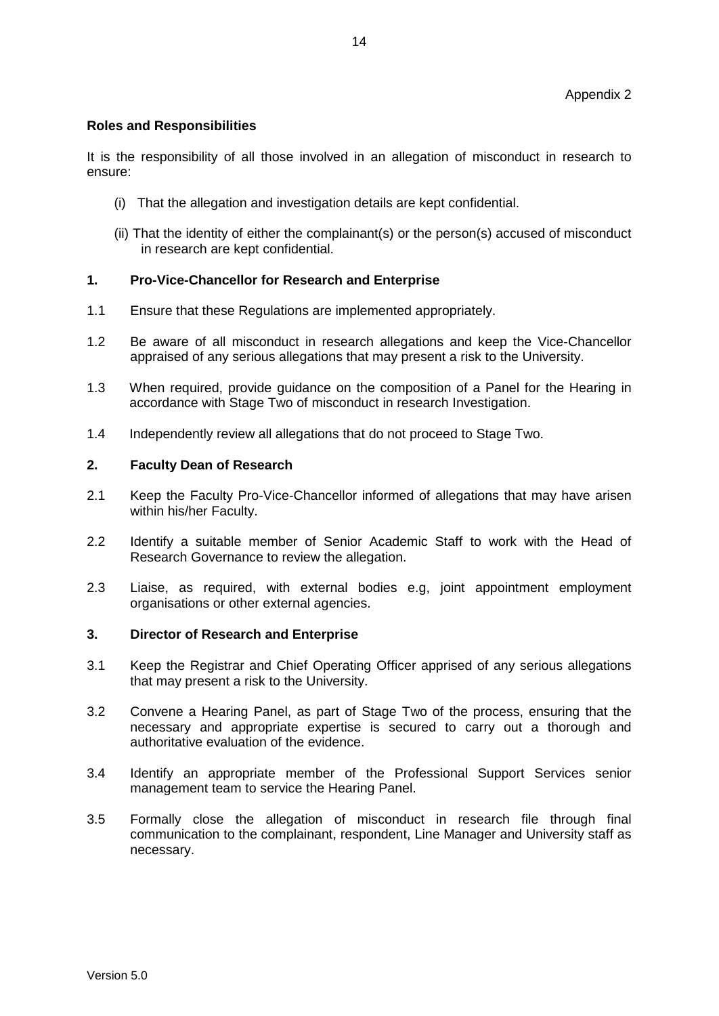# **Roles and Responsibilities**

It is the responsibility of all those involved in an allegation of misconduct in research to ensure:

- (i) That the allegation and investigation details are kept confidential.
- (ii) That the identity of either the complainant(s) or the person(s) accused of misconduct in research are kept confidential.

## **1. Pro-Vice-Chancellor for Research and Enterprise**

- 1.1 Ensure that these Regulations are implemented appropriately.
- 1.2 Be aware of all misconduct in research allegations and keep the Vice-Chancellor appraised of any serious allegations that may present a risk to the University.
- 1.3 When required, provide guidance on the composition of a Panel for the Hearing in accordance with Stage Two of misconduct in research Investigation.
- 1.4 Independently review all allegations that do not proceed to Stage Two.

#### **2. Faculty Dean of Research**

- 2.1 Keep the Faculty Pro-Vice-Chancellor informed of allegations that may have arisen within his/her Faculty.
- 2.2 Identify a suitable member of Senior Academic Staff to work with the Head of Research Governance to review the allegation.
- 2.3 Liaise, as required, with external bodies e.g, joint appointment employment organisations or other external agencies.

### **3. Director of Research and Enterprise**

- 3.1 Keep the Registrar and Chief Operating Officer apprised of any serious allegations that may present a risk to the University.
- 3.2 Convene a Hearing Panel, as part of Stage Two of the process, ensuring that the necessary and appropriate expertise is secured to carry out a thorough and authoritative evaluation of the evidence.
- 3.4 Identify an appropriate member of the Professional Support Services senior management team to service the Hearing Panel.
- 3.5 Formally close the allegation of misconduct in research file through final communication to the complainant, respondent, Line Manager and University staff as necessary.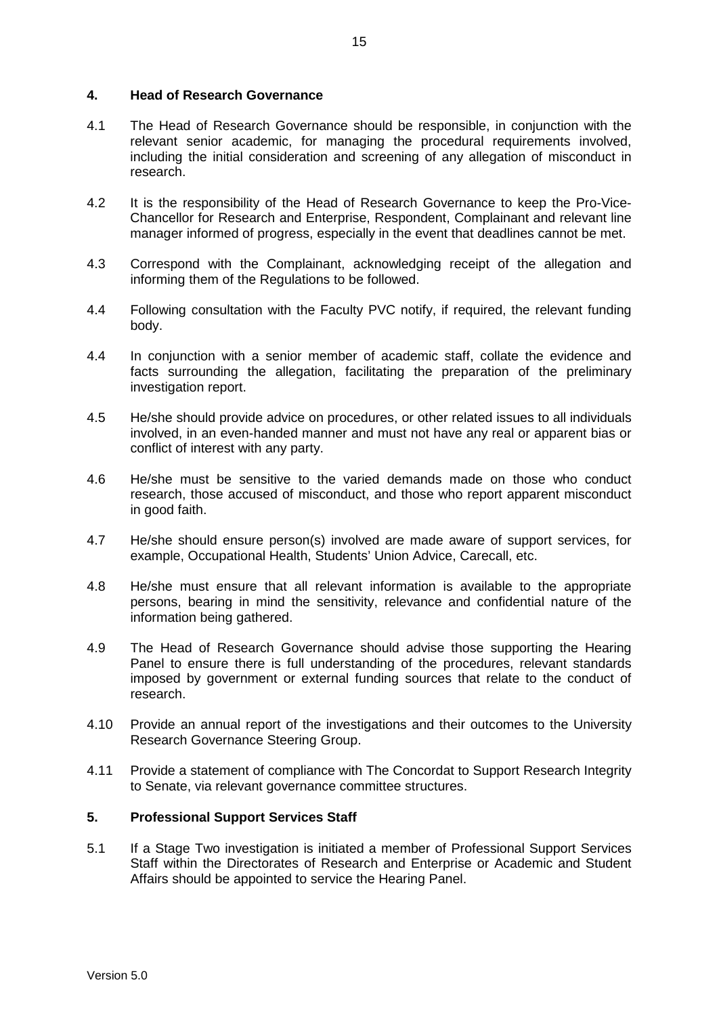## **4. Head of Research Governance**

- 4.1 The Head of Research Governance should be responsible, in conjunction with the relevant senior academic, for managing the procedural requirements involved, including the initial consideration and screening of any allegation of misconduct in research.
- 4.2 It is the responsibility of the Head of Research Governance to keep the Pro-Vice-Chancellor for Research and Enterprise, Respondent, Complainant and relevant line manager informed of progress, especially in the event that deadlines cannot be met.
- 4.3 Correspond with the Complainant, acknowledging receipt of the allegation and informing them of the Regulations to be followed.
- 4.4 Following consultation with the Faculty PVC notify, if required, the relevant funding body.
- 4.4 In conjunction with a senior member of academic staff, collate the evidence and facts surrounding the allegation, facilitating the preparation of the preliminary investigation report.
- 4.5 He/she should provide advice on procedures, or other related issues to all individuals involved, in an even-handed manner and must not have any real or apparent bias or conflict of interest with any party.
- 4.6 He/she must be sensitive to the varied demands made on those who conduct research, those accused of misconduct, and those who report apparent misconduct in good faith.
- 4.7 He/she should ensure person(s) involved are made aware of support services, for example, Occupational Health, Students' Union Advice, Carecall, etc.
- 4.8 He/she must ensure that all relevant information is available to the appropriate persons, bearing in mind the sensitivity, relevance and confidential nature of the information being gathered.
- 4.9 The Head of Research Governance should advise those supporting the Hearing Panel to ensure there is full understanding of the procedures, relevant standards imposed by government or external funding sources that relate to the conduct of research.
- 4.10 Provide an annual report of the investigations and their outcomes to the University Research Governance Steering Group.
- 4.11 Provide a statement of compliance with The Concordat to Support Research Integrity to Senate, via relevant governance committee structures.

# **5. Professional Support Services Staff**

5.1 If a Stage Two investigation is initiated a member of Professional Support Services Staff within the Directorates of Research and Enterprise or Academic and Student Affairs should be appointed to service the Hearing Panel.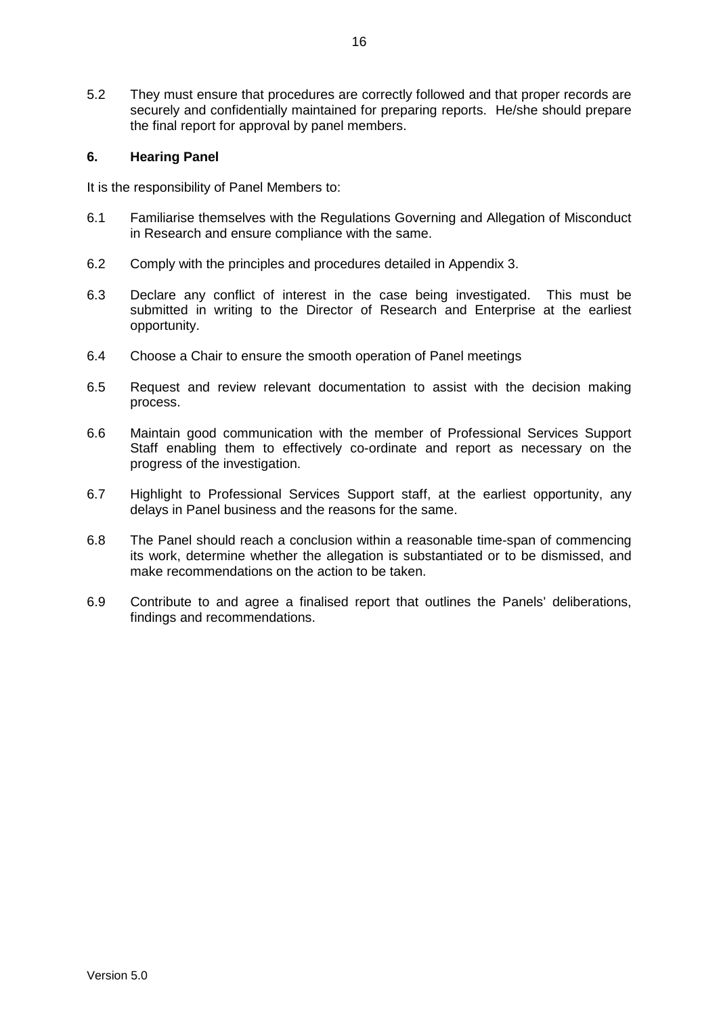5.2 They must ensure that procedures are correctly followed and that proper records are securely and confidentially maintained for preparing reports. He/she should prepare the final report for approval by panel members.

# **6. Hearing Panel**

It is the responsibility of Panel Members to:

- 6.1 Familiarise themselves with the Regulations Governing and Allegation of Misconduct in Research and ensure compliance with the same.
- 6.2 Comply with the principles and procedures detailed in Appendix 3.
- 6.3 Declare any conflict of interest in the case being investigated. This must be submitted in writing to the Director of Research and Enterprise at the earliest opportunity.
- 6.4 Choose a Chair to ensure the smooth operation of Panel meetings
- 6.5 Request and review relevant documentation to assist with the decision making process.
- 6.6 Maintain good communication with the member of Professional Services Support Staff enabling them to effectively co-ordinate and report as necessary on the progress of the investigation.
- 6.7 Highlight to Professional Services Support staff, at the earliest opportunity, any delays in Panel business and the reasons for the same.
- 6.8 The Panel should reach a conclusion within a reasonable time-span of commencing its work, determine whether the allegation is substantiated or to be dismissed, and make recommendations on the action to be taken.
- 6.9 Contribute to and agree a finalised report that outlines the Panels' deliberations, findings and recommendations.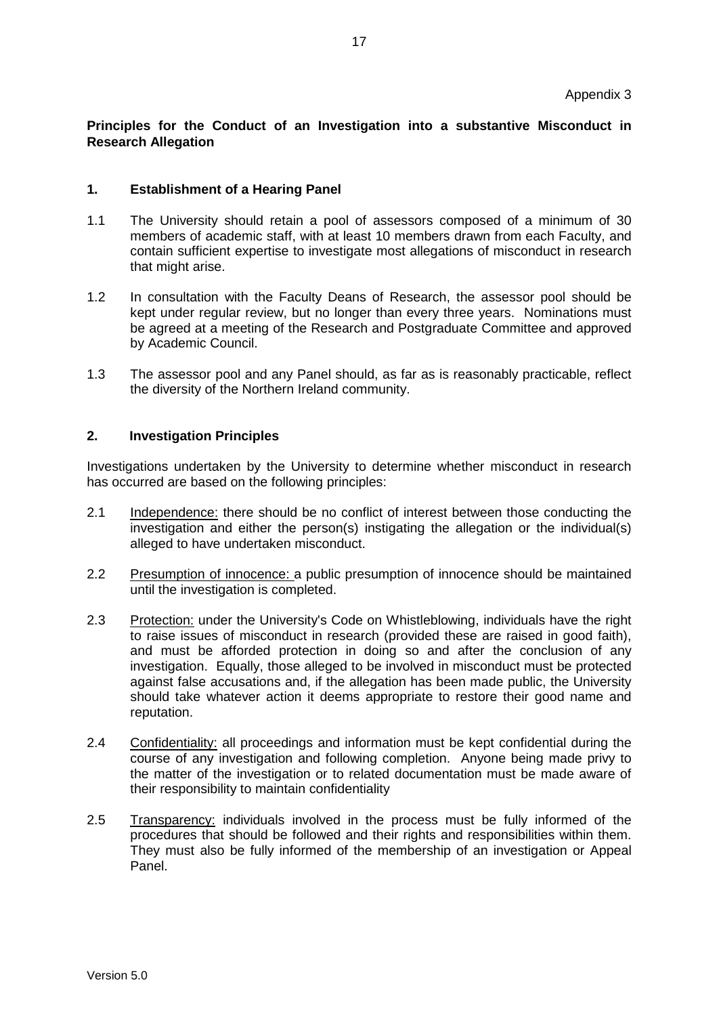# **Principles for the Conduct of an Investigation into a substantive Misconduct in Research Allegation**

## **1. Establishment of a Hearing Panel**

- 1.1 The University should retain a pool of assessors composed of a minimum of 30 members of academic staff, with at least 10 members drawn from each Faculty, and contain sufficient expertise to investigate most allegations of misconduct in research that might arise.
- 1.2 In consultation with the Faculty Deans of Research, the assessor pool should be kept under regular review, but no longer than every three years. Nominations must be agreed at a meeting of the Research and Postgraduate Committee and approved by Academic Council.
- 1.3 The assessor pool and any Panel should, as far as is reasonably practicable, reflect the diversity of the Northern Ireland community.

## **2. Investigation Principles**

Investigations undertaken by the University to determine whether misconduct in research has occurred are based on the following principles:

- 2.1 Independence: there should be no conflict of interest between those conducting the investigation and either the person(s) instigating the allegation or the individual(s) alleged to have undertaken misconduct.
- 2.2 Presumption of innocence: a public presumption of innocence should be maintained until the investigation is completed.
- 2.3 Protection: under the University's Code on Whistleblowing, individuals have the right to raise issues of misconduct in research (provided these are raised in good faith), and must be afforded protection in doing so and after the conclusion of any investigation. Equally, those alleged to be involved in misconduct must be protected against false accusations and, if the allegation has been made public, the University should take whatever action it deems appropriate to restore their good name and reputation.
- 2.4 Confidentiality: all proceedings and information must be kept confidential during the course of any investigation and following completion. Anyone being made privy to the matter of the investigation or to related documentation must be made aware of their responsibility to maintain confidentiality
- 2.5 Transparency: individuals involved in the process must be fully informed of the procedures that should be followed and their rights and responsibilities within them. They must also be fully informed of the membership of an investigation or Appeal Panel.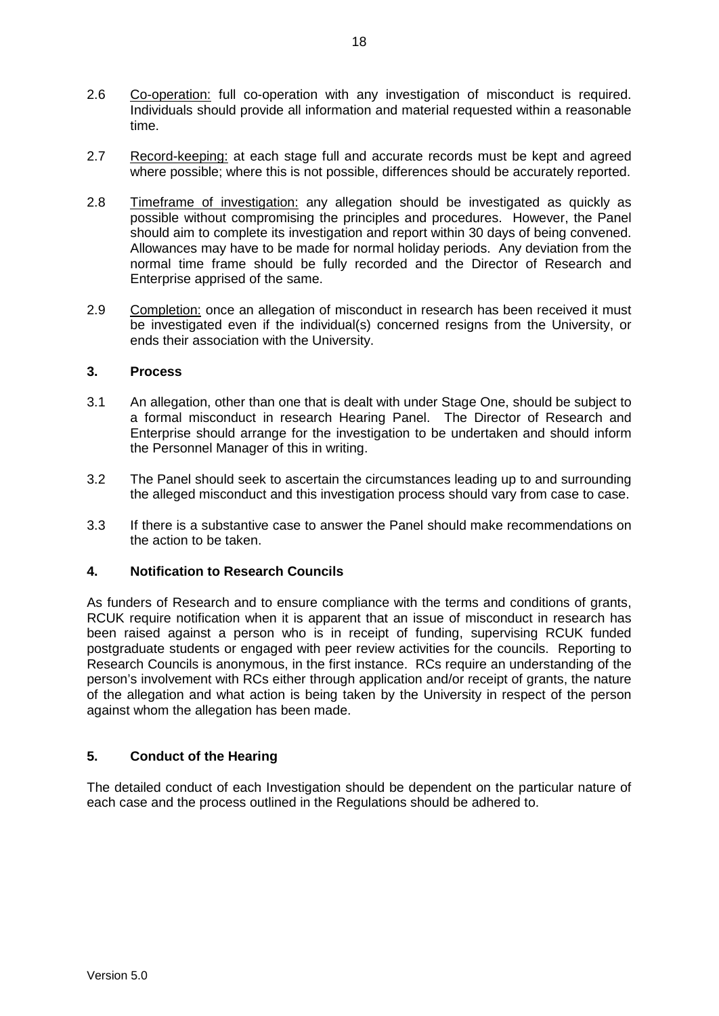- 2.6 Co-operation: full co-operation with any investigation of misconduct is required. Individuals should provide all information and material requested within a reasonable time.
- 2.7 Record-keeping: at each stage full and accurate records must be kept and agreed where possible; where this is not possible, differences should be accurately reported.
- 2.8 Timeframe of investigation: any allegation should be investigated as quickly as possible without compromising the principles and procedures. However, the Panel should aim to complete its investigation and report within 30 days of being convened. Allowances may have to be made for normal holiday periods. Any deviation from the normal time frame should be fully recorded and the Director of Research and Enterprise apprised of the same.
- 2.9 Completion: once an allegation of misconduct in research has been received it must be investigated even if the individual(s) concerned resigns from the University, or ends their association with the University.

# **3. Process**

- 3.1 An allegation, other than one that is dealt with under Stage One, should be subject to a formal misconduct in research Hearing Panel. The Director of Research and Enterprise should arrange for the investigation to be undertaken and should inform the Personnel Manager of this in writing.
- 3.2 The Panel should seek to ascertain the circumstances leading up to and surrounding the alleged misconduct and this investigation process should vary from case to case.
- 3.3 If there is a substantive case to answer the Panel should make recommendations on the action to be taken.

# **4. Notification to Research Councils**

As funders of Research and to ensure compliance with the terms and conditions of grants, RCUK require notification when it is apparent that an issue of misconduct in research has been raised against a person who is in receipt of funding, supervising RCUK funded postgraduate students or engaged with peer review activities for the councils. Reporting to Research Councils is anonymous, in the first instance. RCs require an understanding of the person's involvement with RCs either through application and/or receipt of grants, the nature of the allegation and what action is being taken by the University in respect of the person against whom the allegation has been made.

# **5. Conduct of the Hearing**

The detailed conduct of each Investigation should be dependent on the particular nature of each case and the process outlined in the Regulations should be adhered to.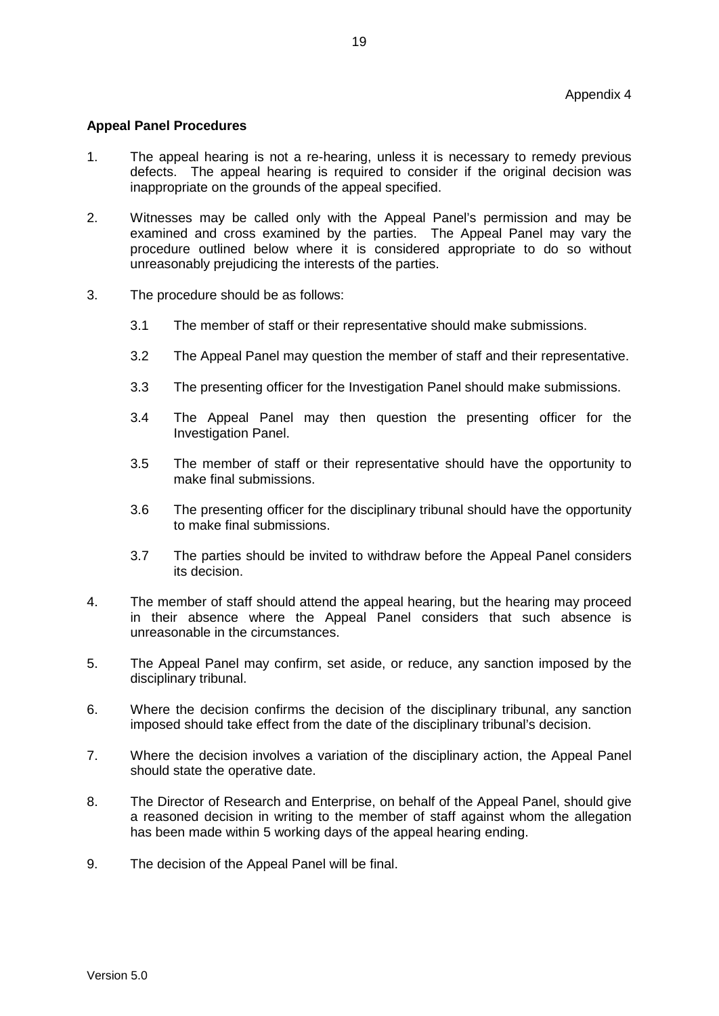### **Appeal Panel Procedures**

- 1. The appeal hearing is not a re-hearing, unless it is necessary to remedy previous defects. The appeal hearing is required to consider if the original decision was inappropriate on the grounds of the appeal specified.
- 2. Witnesses may be called only with the Appeal Panel's permission and may be examined and cross examined by the parties. The Appeal Panel may vary the procedure outlined below where it is considered appropriate to do so without unreasonably prejudicing the interests of the parties.
- 3. The procedure should be as follows:
	- 3.1 The member of staff or their representative should make submissions.
	- 3.2 The Appeal Panel may question the member of staff and their representative.
	- 3.3 The presenting officer for the Investigation Panel should make submissions.
	- 3.4 The Appeal Panel may then question the presenting officer for the Investigation Panel.
	- 3.5 The member of staff or their representative should have the opportunity to make final submissions.
	- 3.6 The presenting officer for the disciplinary tribunal should have the opportunity to make final submissions.
	- 3.7 The parties should be invited to withdraw before the Appeal Panel considers its decision.
- 4. The member of staff should attend the appeal hearing, but the hearing may proceed in their absence where the Appeal Panel considers that such absence is unreasonable in the circumstances.
- 5. The Appeal Panel may confirm, set aside, or reduce, any sanction imposed by the disciplinary tribunal.
- 6. Where the decision confirms the decision of the disciplinary tribunal, any sanction imposed should take effect from the date of the disciplinary tribunal's decision.
- 7. Where the decision involves a variation of the disciplinary action, the Appeal Panel should state the operative date.
- 8. The Director of Research and Enterprise, on behalf of the Appeal Panel, should give a reasoned decision in writing to the member of staff against whom the allegation has been made within 5 working days of the appeal hearing ending.
- 9. The decision of the Appeal Panel will be final.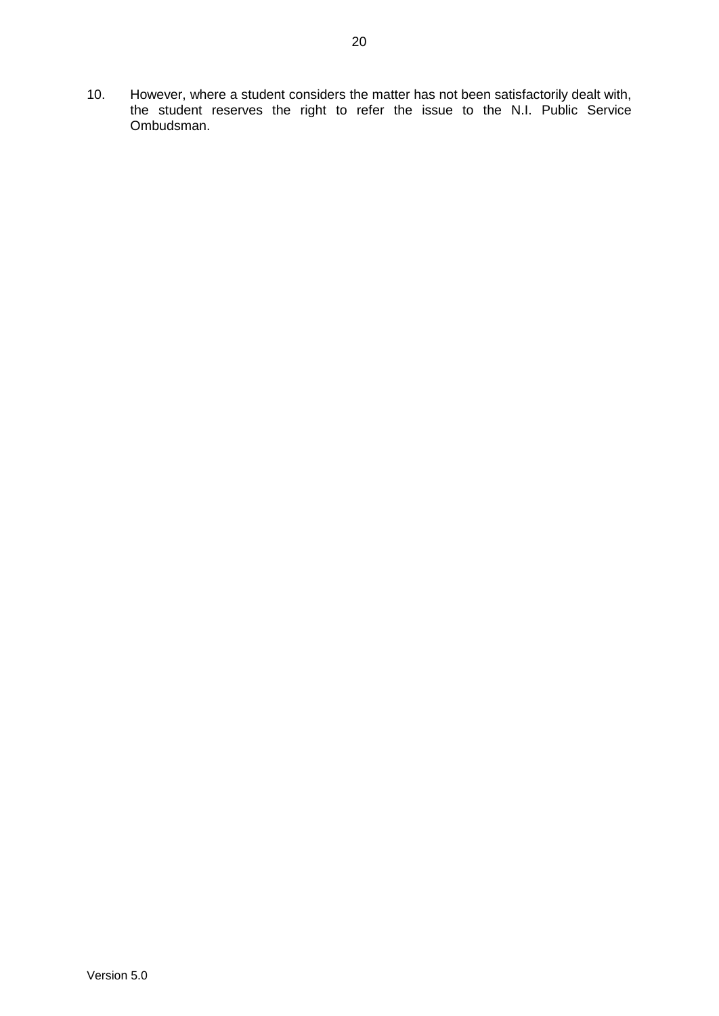10. However, where a student considers the matter has not been satisfactorily dealt with, the student reserves the right to refer the issue to the N.I. Public Service Ombudsman.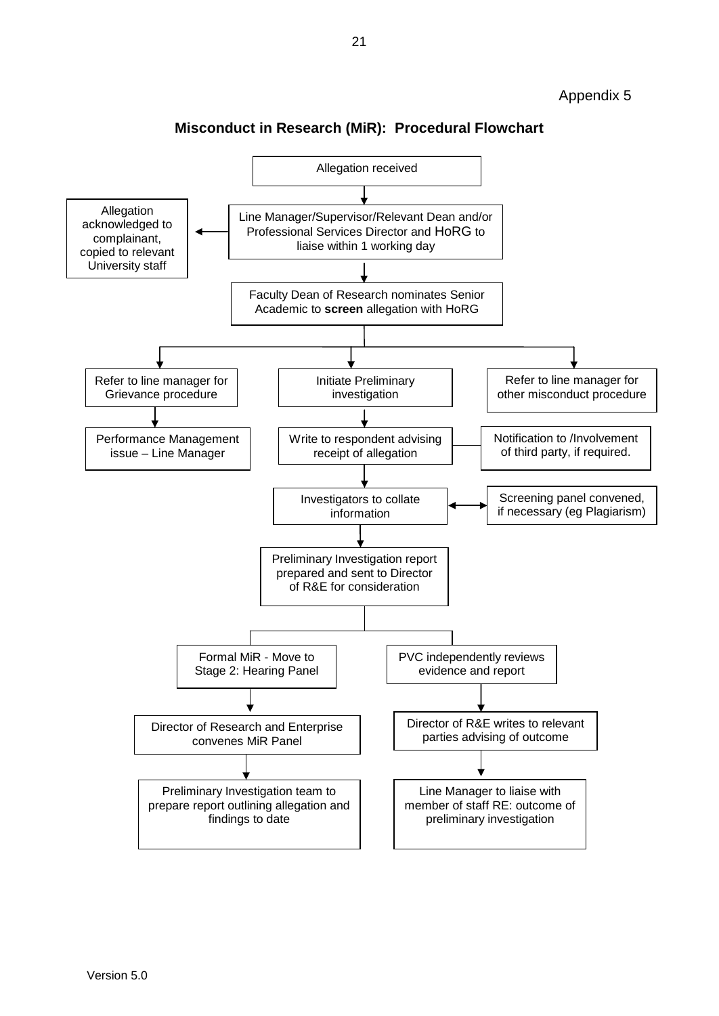

# **Misconduct in Research (MiR): Procedural Flowchart**